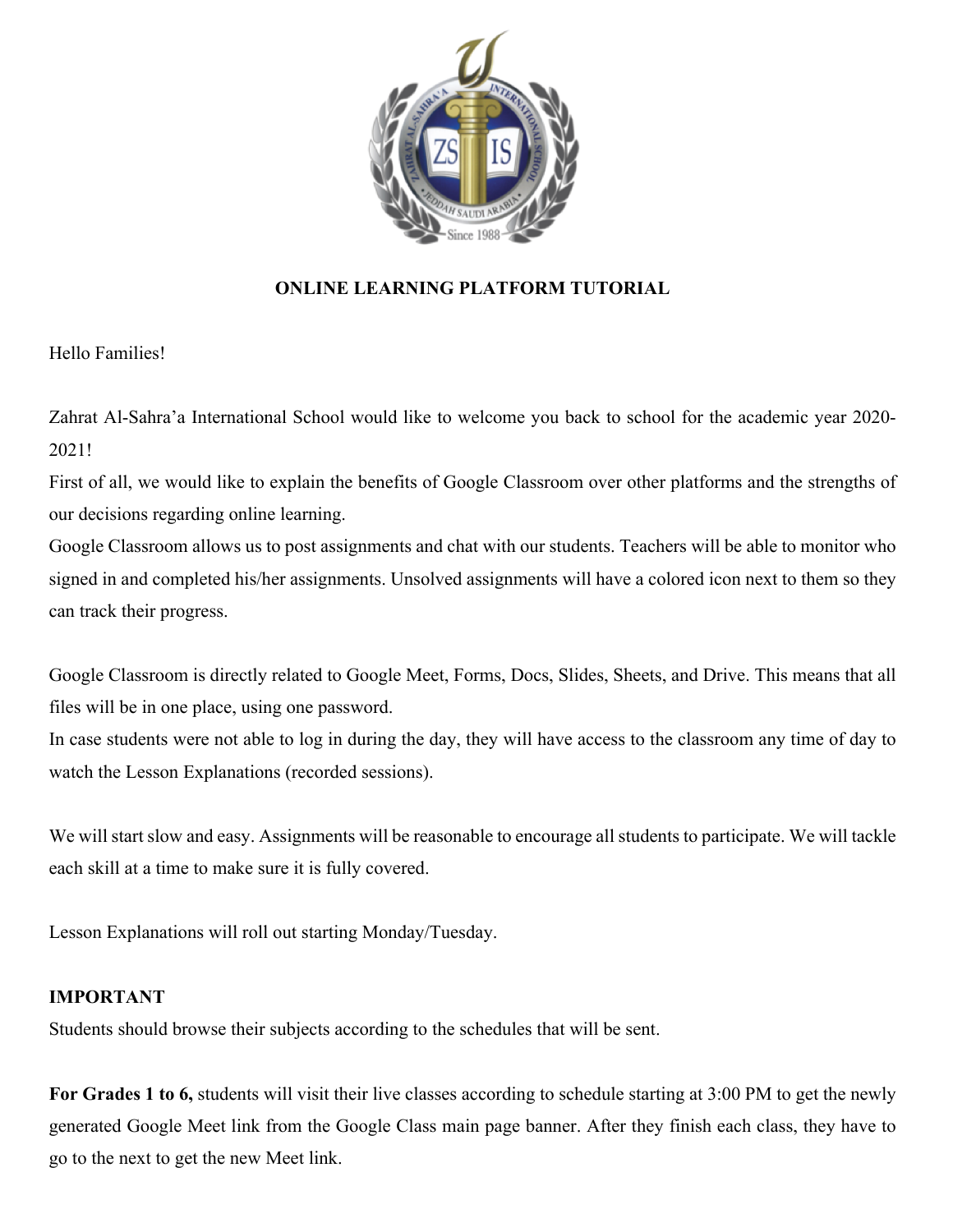

### **ONLINE LEARNING PLATFORM TUTORIAL**

Hello Families!

Zahrat Al-Sahra'a International School would like to welcome you back to school for the academic year 2020- 2021!

First of all, we would like to explain the benefits of Google Classroom over other platforms and the strengths of our decisions regarding online learning.

Google Classroom allows us to post assignments and chat with our students. Teachers will be able to monitor who signed in and completed his/her assignments. Unsolved assignments will have a colored icon next to them so they can track their progress.

Google Classroom is directly related to Google Meet, Forms, Docs, Slides, Sheets, and Drive. This means that all files will be in one place, using one password.

In case students were not able to log in during the day, they will have access to the classroom any time of day to watch the Lesson Explanations (recorded sessions).

We will start slow and easy. Assignments will be reasonable to encourage all students to participate. We will tackle each skill at a time to make sure it is fully covered.

Lesson Explanations will roll out starting Monday/Tuesday.

### **IMPORTANT**

Students should browse their subjects according to the schedules that will be sent.

**For Grades 1 to 6,** students will visit their live classes according to schedule starting at 3:00 PM to get the newly generated Google Meet link from the Google Class main page banner. After they finish each class, they have to go to the next to get the new Meet link.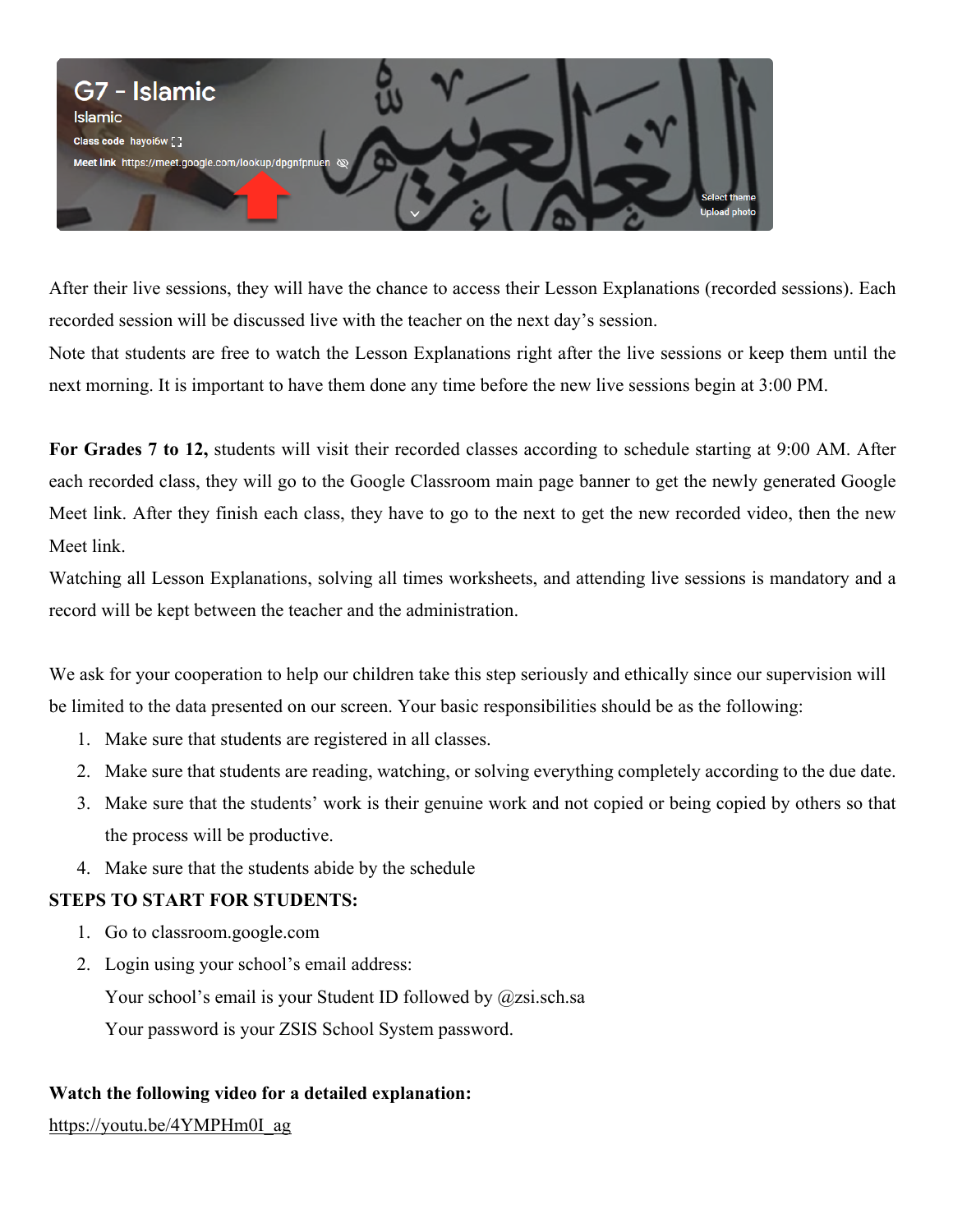

After their live sessions, they will have the chance to access their Lesson Explanations (recorded sessions). Each recorded session will be discussed live with the teacher on the next day's session.

Note that students are free to watch the Lesson Explanations right after the live sessions or keep them until the next morning. It is important to have them done any time before the new live sessions begin at 3:00 PM.

**For Grades 7 to 12,** students will visit their recorded classes according to schedule starting at 9:00 AM. After each recorded class, they will go to the Google Classroom main page banner to get the newly generated Google Meet link. After they finish each class, they have to go to the next to get the new recorded video, then the new Meet link.

Watching all Lesson Explanations, solving all times worksheets, and attending live sessions is mandatory and a record will be kept between the teacher and the administration.

We ask for your cooperation to help our children take this step seriously and ethically since our supervision will be limited to the data presented on our screen. Your basic responsibilities should be as the following:

- 1. Make sure that students are registered in all classes.
- 2. Make sure that students are reading, watching, or solving everything completely according to the due date.
- 3. Make sure that the students' work is their genuine work and not copied or being copied by others so that the process will be productive.
- 4. Make sure that the students abide by the schedule

### **STEPS TO START FOR STUDENTS:**

- 1. Go to classroom.google.com
- 2. Login using your school's email address: Your school's email is your Student ID followed by @zsi.sch.sa Your password is your ZSIS School System password.

### **Watch the following video for a detailed explanation:**

https://youtu.be/4YMPHm0I\_ag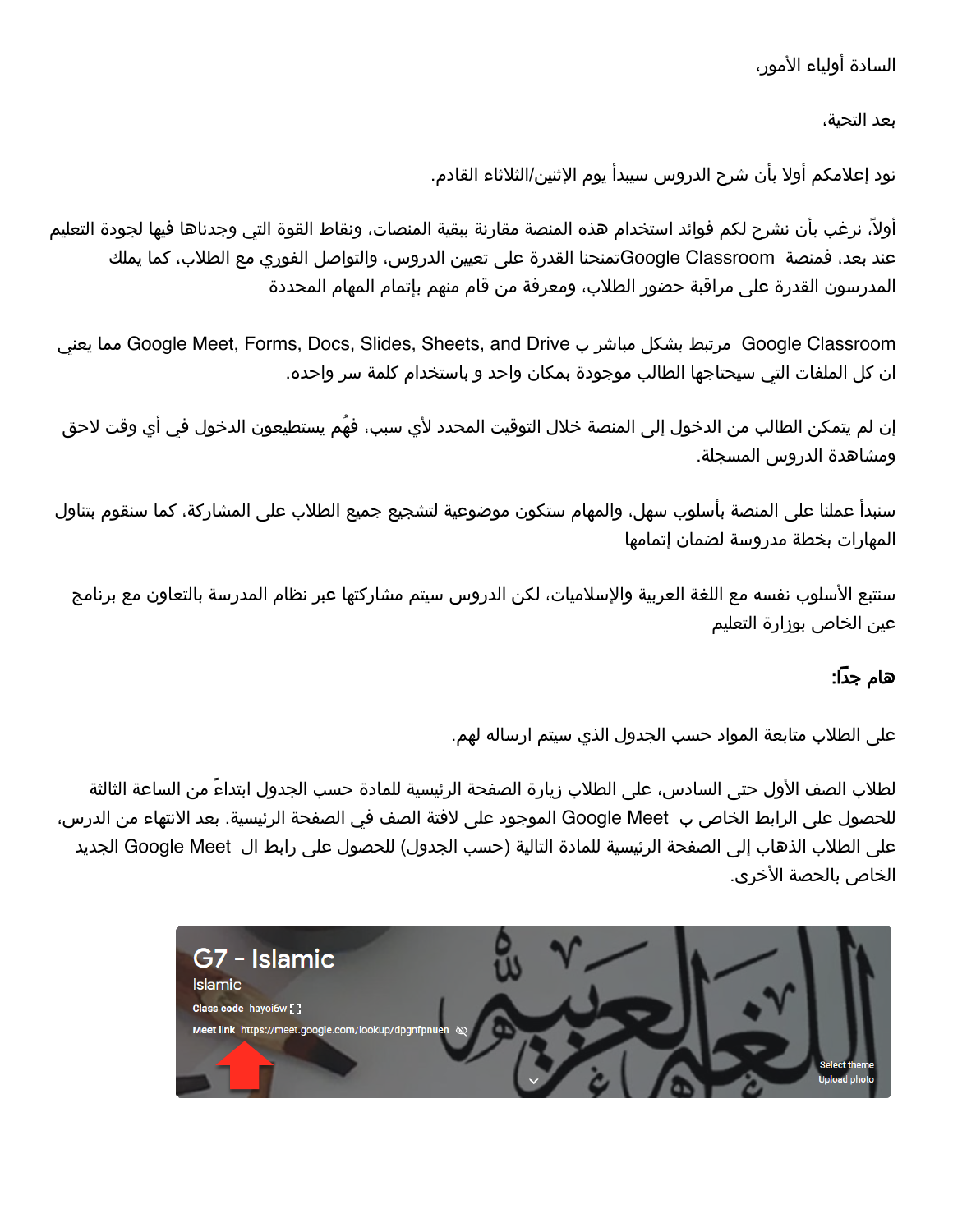## السادة أولياء الأمور،

بعد التحية،

نود إعلامكم أولا بأن شرح الدروس سيبدأ يوم الإثنين/الثلاثاء القادم.

اولا، نرغب بان نشرح لكم فوائد استخدام هذه المنصة مقارنة ببقية المنصات، ونقاط القوة التي وجدناها فيها لجودة التعليم عند بعد، فمنصة Google Classroomتمنحنا القدرة على تعيين الدروس، والتواصل الفوري مع الطلاب، كما يملك المدرسون القدرة على مراقبة حضور الطلاب، ومعرفة من قام منهم بإتمام المهام المحددة

ينعي امم Google Meet, Forms, Docs, Slides, Sheets, and Drive ب رشابم لكشب طبترم Google Classroom ان كل الملفات التي سيحتاجها الطالب موجودة بمكان واحد و باستخدام كلمة سر واحده.

إن لم يتمكن الطالب من الدخول إلى المنصة خلال التوقيت المحدد لأي سبب، فهُم يستطيعون الدخول في أي وقت لاحق ومشاهدة الدروس المسجلة.

سنبدأ عملنا على المنصة بأسلوب سهل، والمهام ستكون موضوعية لتشجيع جميع الطلاب على المشاركة، كما سنقوم بتناول المهارات بخطة مدروسة لضمان إتمامها

سنتبع الأسلوب نفسه مع اللغة العربية والإسلاميات، لكن الدروس سيتم مشاركتها عبر نظام المدرسة بالتعاون مع برنامج عين الخاص بوزارة التعليم

# هام جداً:

على الطلاب متابعة المواد حسب الجدول الذي سيتم ارساله لهم.

لطلاب الصف الأول حتى السادس، على الطلاب زيارة الصفحة الرئيسية للمادة حسب الجدول ابتداءً من الساعة الثالثة للحصول على الرابط الخاص ب Google Meet الموجود على لافتة الصف في الصفحة الرئيسية. بعد الانتهاء من الدرس، على الطلاب الذهاب إلى الصفحة الرئيسية للمادة التالية (حسب الجدول) للحصول على رابط ال Google Meet الجديد الخاص بالحصة الأخرى.